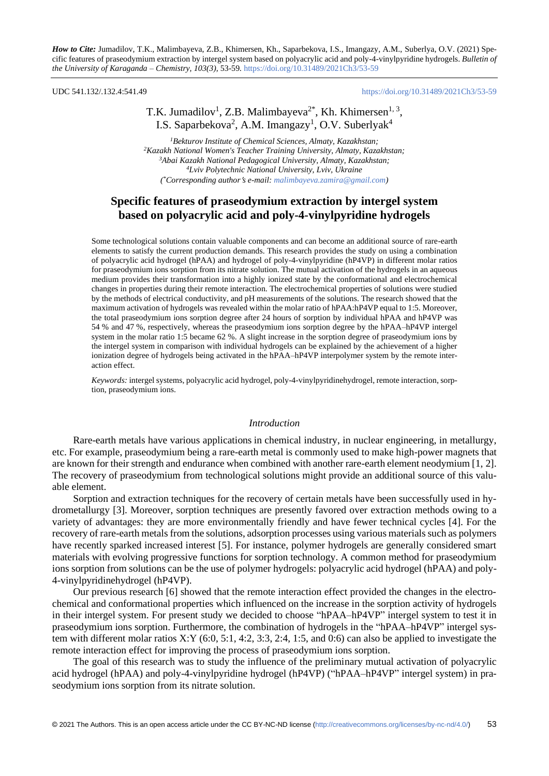UDC 541.132/.132.4:541.49 <https://doi.org/10.31489/2021Ch3/53-59>

# T.K. Jumadilov<sup>1</sup>, Z.B. Malimbayeva<sup>2\*</sup>, Kh. Khimersen<sup>1, 3</sup>, I.S. Saparbekova<sup>2</sup>, A.M. Imangazy<sup>1</sup>, O.V. Suberlyak<sup>4</sup>

*Bekturov Institute of Chemical Sciences, Almaty, Kazakhstan; Kazakh National Women's Teacher Training University, Almaty, Kazakhstan; Abai Kazakh National Pedagogical University, Almaty, Kazakhstan; Lviv Polytechnic National University, Lviv, Ukraine ( \*Corresponding authors e-mail: [malimbayeva.zamira@gmail.com\)](mailto:malimbayeva.zamira@gmail.com)*

# **Specific features of praseodymium extraction by intergel system based on polyacrylic acid and poly-4-vinylpyridine hydrogels**

Some technological solutions contain valuable components and can become an additional source of rare-earth elements to satisfy the current production demands. This research provides the study on using a combination of polyacrylic acid hydrogel (hPAA) and hydrogel of poly-4-vinylpyridine (hP4VP) in different molar ratios for praseodymium ions sorption from its nitrate solution. The mutual activation of the hydrogels in an aqueous medium provides their transformation into a highly ionized state by the conformational and electrochemical changes in properties during their remote interaction. The electrochemical properties of solutions were studied by the methods of electrical conductivity, and pH measurements of the solutions. The research showed that the maximum activation of hydrogels was revealed within the molar ratio of hPAA:hP4VP equal to 1:5. Moreover, the total praseodymium ions sorption degree after 24 hours of sorption by individual hPAA and hP4VP was 54 % and 47 %, respectively, whereas the praseodymium ions sorption degree by the hPAA–hP4VP intergel system in the molar ratio 1:5 became 62 %. A slight increase in the sorption degree of praseodymium ions by the intergel system in comparison with individual hydrogels can be explained by the achievement of a higher ionization degree of hydrogels being activated in the hPAA–hP4VP interpolymer system by the remote interaction effect.

*Keywords:* intergel systems, polyacrylic acid hydrogel, poly-4-vinylpyridinehydrogel, remote interaction, sorption, praseodymium ions.

#### *Introduction*

Rare-earth metals have various applications in chemical industry, in nuclear engineering, in metallurgy, etc. For example, praseodymium being a rare-earth metal is commonly used to make high-power magnets that are known for their strength and endurance when combined with another rare-earth element neodymium [1, 2]. The recovery of praseodymium from technological solutions might provide an additional source of this valuable element.

Sorption and extraction techniques for the recovery of certain metals have been successfully used in hydrometallurgy [3]. Moreover, sorption techniques are presently favored over extraction methods owing to a variety of advantages: they are more environmentally friendly and have fewer technical cycles [4]. For the recovery of rare-earth metals from the solutions, adsorption processes using various materials such as polymers have recently sparked increased interest [5]. For instance, polymer hydrogels are generally considered smart materials with evolving progressive functions for sorption technology. A common method for praseodymium ions sorption from solutions can be the use of polymer hydrogels: polyacrylic acid hydrogel (hPAA) and poly-4-vinylpyridinehydrogel (hP4VP).

Our previous research [6] showed that the remote interaction effect provided the changes in the electrochemical and conformational properties which influenced on the increase in the sorption activity of hydrogels in their intergel system. For present study we decided to choose "hPAA–hP4VP" intergel system to test it in praseodymium ions sorption. Furthermore, the combination of hydrogels in the "hPAA–hP4VP" intergel system with different molar ratios X:Y (6:0, 5:1, 4:2, 3:3, 2:4, 1:5, and 0:6) can also be applied to investigate the remote interaction effect for improving the process of praseodymium ions sorption.

The goal of this research was to study the influence of the preliminary mutual activation of polyacrylic acid hydrogel (hPAA) and poly-4-vinylpyridine hydrogel (hP4VP) ("hPAA–hP4VP" intergel system) in praseodymium ions sorption from its nitrate solution.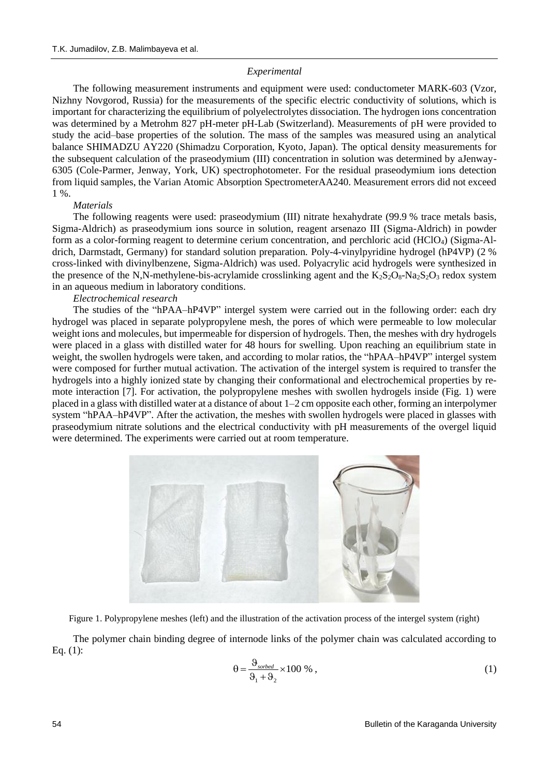#### *Experimental*

The following measurement instruments and equipment were used: conductometer MARK-603 (Vzor, Nizhny Novgorod, Russia) for the measurements of the specific electric conductivity of solutions, which is important for characterizing the equilibrium of polyelectrolytes dissociation. The hydrogen ions concentration was determined by a Metrohm 827 pH-meter pH-Lab (Switzerland). Measurements of pH were provided to study the acid–base properties of the solution. The mass of the samples was measured using an analytical balance SHIMADZU AY220 (Shimadzu Corporation, Kyoto, Japan). The optical density measurements for the subsequent calculation of the praseodymium (III) concentration in solution was determined by aJenway-6305 (Cole-Parmer, Jenway, York, UK) spectrophotometer. For the residual praseodymium ions detection from liquid samples, the Varian Atomic Absorption SpectrometerAA240. Measurement errors did not exceed 1 %.

#### *Materials*

The following reagents were used: praseodymium (III) nitrate hexahydrate (99.9 % trace metals basis, Sigma-Aldrich) as praseodymium ions source in solution, reagent arsenazo III (Sigma-Aldrich) in powder form as a color-forming reagent to determine cerium concentration, and perchloric acid (HClO4) (Sigma-Aldrich, Darmstadt, Germany) for standard solution preparation. Poly-4-vinylpyridine hydrogel (hP4VP) (2 % cross-linked with divinylbenzene, Sigma-Aldrich) was used. Polyacrylic acid hydrogels were synthesized in the presence of the N,N-methylene-bis-acrylamide crosslinking agent and the  $K_2S_2O_8-Na_2S_2O_3$  redox system in an aqueous medium in laboratory conditions.

### *Electrochemical research*

The studies of the "hPAA–hP4VP" intergel system were carried out in the following order: each dry hydrogel was placed in separate polypropylene mesh, the pores of which were permeable to low molecular weight ions and molecules, but impermeable for dispersion of hydrogels. Then, the meshes with dry hydrogels were placed in a glass with distilled water for 48 hours for swelling. Upon reaching an equilibrium state in weight, the swollen hydrogels were taken, and according to molar ratios, the "hPAA–hP4VP" intergel system were composed for further mutual activation. The activation of the intergel system is required to transfer the hydrogels into a highly ionized state by changing their conformational and electrochemical properties by remote interaction [7]. For activation, the polypropylene meshes with swollen hydrogels inside (Fig. 1) were placed in a glass with distilled water at a distance of about 1–2 cm opposite each other, forming an interpolymer system "hPAA–hP4VP". After the activation, the meshes with swollen hydrogels were placed in glasses with praseodymium nitrate solutions and the electrical conductivity with pH measurements of the overgel liquid were determined. The experiments were carried out at room temperature.



Figure 1. Polypropylene meshes (left) and the illustration of the activation process of the intergel system (right)

The polymer chain binding degree of internode links of the polymer chain was calculated according to Eq. (1):

$$
\theta = \frac{\Theta_{sorted}}{\Theta_1 + \Theta_2} \times 100 \%
$$
 (1)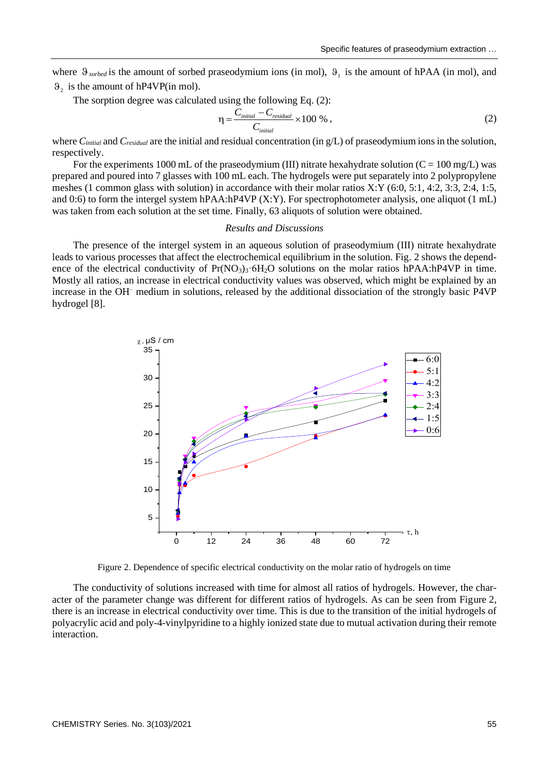where  $\Theta_{sorted}$  is the amount of sorbed praseodymium ions (in mol),  $\Theta_1$  is the amount of hPAA (in mol), and  $\vartheta_2$  is the amount of hP4VP(in mol).

The sorption degree was calculated using the following Eq. (2):<br> $P = \frac{C_{initial} - C_{residual}}{C_{initial} - C_{residual}}$ 

$$
\eta = \frac{C_{initial} - C_{residual}}{C_{initial}} \times 100\% \tag{2}
$$

where *Cinitial* and *Cresidual* are the initial and residual concentration (in g/L) of praseodymium ions in the solution, respectively.

For the experiments 1000 mL of the praseodymium (III) nitrate hexahydrate solution ( $C = 100$  mg/L) was prepared and poured into 7 glasses with 100 mL each. The hydrogels were put separately into 2 polypropylene meshes (1 common glass with solution) in accordance with their molar ratios X:Y (6:0, 5:1, 4:2, 3:3, 2:4, 1:5, and 0:6) to form the intergel system hPAA:hP4VP (X:Y). For spectrophotometer analysis, one aliquot (1 mL) was taken from each solution at the set time. Finally, 63 aliquots of solution were obtained.

#### *Results and Discussions*

The presence of the intergel system in an aqueous solution of praseodymium (III) nitrate hexahydrate leads to various processes that affect the electrochemical equilibrium in the solution. Fig. 2 shows the dependence of the electrical conductivity of  $Pr(NO<sub>3</sub>)<sub>3</sub>·6H<sub>2</sub>O$  solutions on the molar ratios hPAA:hP4VP in time. Mostly all ratios, an increase in electrical conductivity values was observed, which might be explained by an increase in the OH– medium in solutions, released by the additional dissociation of the strongly basic P4VP hydrogel [8].



Figure 2. Dependence of specific electrical conductivity on the molar ratio of hydrogels on time

The conductivity of solutions increased with time for almost all ratios of hydrogels. However, the character of the parameter change was different for different ratios of hydrogels. As can be seen from Figure 2, there is an increase in electrical conductivity over time. This is due to the transition of the initial hydrogels of polyacrylic acid and poly-4-vinylpyridine to a highly ionized state due to mutual activation during their remote interaction.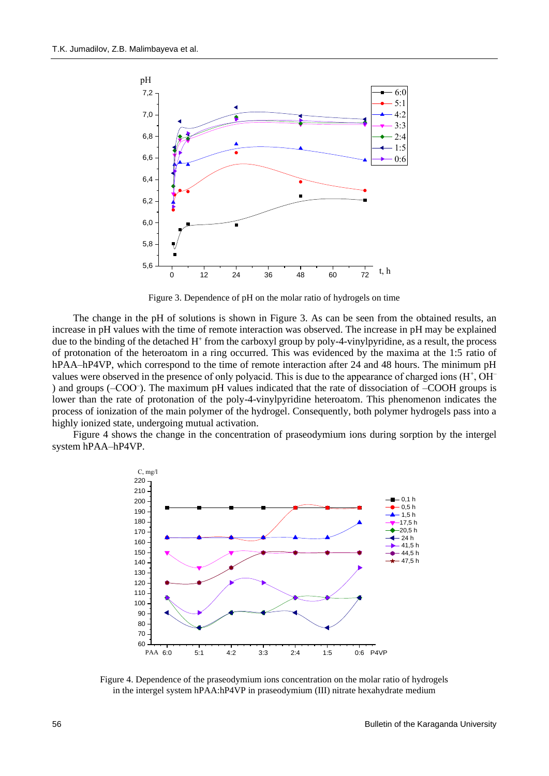

Figure 3. Dependence of pH on the molar ratio of hydrogels on time

The change in the pH of solutions is shown in Figure 3. As can be seen from the obtained results, an increase in pH values with the time of remote interaction was observed. The increase in pH may be explained due to the binding of the detached H<sup>+</sup> from the carboxyl group by poly-4-vinylpyridine, as a result, the process of protonation of the heteroatom in a ring occurred. This was evidenced by the maxima at the 1:5 ratio of hPAA–hP4VP, which correspond to the time of remote interaction after 24 and 48 hours. The minimum pH values were observed in the presence of only polyacid. This is due to the appearance of charged ions (H<sup>+</sup>, OH<sup>-</sup> ) and groups (–СОО– ). The maximum pH values indicated that the rate of dissociation of –COOH groups is lower than the rate of protonation of the poly-4-vinylpyridine heteroatom. This phenomenon indicates the process of ionization of the main polymer of the hydrogel. Consequently, both polymer hydrogels pass into a highly ionized state, undergoing mutual activation.

Figure 4 shows the change in the concentration of praseodymium ions during sorption by the intergel system hPAA–hP4VP.



Figure 4. Dependence of the praseodymium ions concentration on the molar ratio of hydrogels in the intergel system hPAA:hP4VP in praseodymium (III) nitrate hexahydrate medium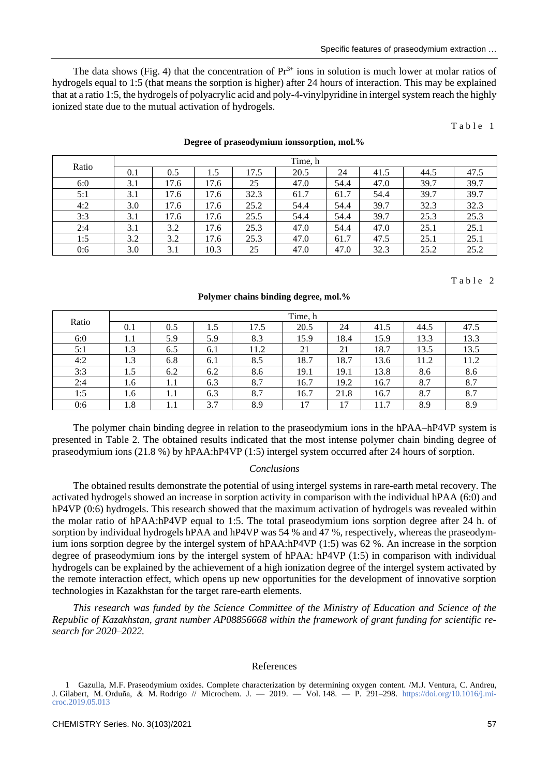The data shows (Fig. 4) that the concentration of  $Pr^{3+}$  ions in solution is much lower at molar ratios of hydrogels equal to 1:5 (that means the sorption is higher) after 24 hours of interaction. This may be explained that at a ratio 1:5, the hydrogels of polyacrylic acid and poly-4-vinylpyridine in intergel system reach the highly ionized state due to the mutual activation of hydrogels.

 $T$  a b  $1e$  1

| Ratio | Time, h |      |      |      |      |      |      |      |      |  |
|-------|---------|------|------|------|------|------|------|------|------|--|
|       | 0.1     | 0.5  | 1.5  | 17.5 | 20.5 | 24   | 41.5 | 44.5 | 47.5 |  |
| 6:0   | 3.1     | 17.6 | 17.6 | 25   | 47.0 | 54.4 | 47.0 | 39.7 | 39.7 |  |
| 5:1   | 3.1     | 17.6 | 17.6 | 32.3 | 61.7 | 61.7 | 54.4 | 39.7 | 39.7 |  |
| 4:2   | 3.0     | 17.6 | 17.6 | 25.2 | 54.4 | 54.4 | 39.7 | 32.3 | 32.3 |  |
| 3:3   | 3.1     | 17.6 | 17.6 | 25.5 | 54.4 | 54.4 | 39.7 | 25.3 | 25.3 |  |
| 2:4   | 3.1     | 3.2  | 17.6 | 25.3 | 47.0 | 54.4 | 47.0 | 25.1 | 25.1 |  |
| 1:5   | 3.2     | 3.2  | 17.6 | 25.3 | 47.0 | 61.7 | 47.5 | 25.1 | 25.1 |  |
| 0:6   | 3.0     | 3.1  | 10.3 | 25   | 47.0 | 47.0 | 32.3 | 25.2 | 25.2 |  |

### **Degree of praseodymium ionssorption, mol.%**

### Table 2

### **Polymer chains binding degree, mol.%**

| Ratio | Time, h |         |     |      |      |      |      |      |      |  |
|-------|---------|---------|-----|------|------|------|------|------|------|--|
|       | 0.1     | 0.5     | 1.5 | 17.5 | 20.5 | 24   | 41.5 | 44.5 | 47.5 |  |
| 6:0   | 1.1     | 5.9     | 5.9 | 8.3  | 15.9 | 18.4 | 15.9 | 13.3 | 13.3 |  |
| 5:1   | 1.3     | 6.5     | 6.1 | 11.2 | 21   | 21   | 18.7 | 13.5 | 13.5 |  |
| 4:2   | 1.3     | 6.8     | 6.1 | 8.5  | 18.7 | 18.7 | 13.6 | 11.2 | 11.2 |  |
| 3:3   | 1.5     | 6.2     | 6.2 | 8.6  | 19.1 | 19.1 | 13.8 | 8.6  | 8.6  |  |
| 2:4   | 1.6     | $1.1\,$ | 6.3 | 8.7  | 16.7 | 19.2 | 16.7 | 8.7  | 8.7  |  |
| 1:5   | 1.6     | $1.1\,$ | 6.3 | 8.7  | 16.7 | 21.8 | 16.7 | 8.7  | 8.7  |  |
| 0:6   | 1.8     | $1.1\,$ | 3.7 | 8.9  | 17   | 17   | 11.7 | 8.9  | 8.9  |  |

The polymer chain binding degree in relation to the praseodymium ions in the hPAA–hP4VP system is presented in Table 2. The obtained results indicated that the most intense polymer chain binding degree of praseodymium ions (21.8 %) by hPAA:hP4VP (1:5) intergel system occurred after 24 hours of sorption.

### *Conclusions*

The obtained results demonstrate the potential of using intergel systems in rare-earth metal recovery. The activated hydrogels showed an increase in sorption activity in comparison with the individual hPAA (6:0) and hP4VP (0:6) hydrogels. This research showed that the maximum activation of hydrogels was revealed within the molar ratio of hPAA:hP4VP equal to 1:5. The total praseodymium ions sorption degree after 24 h. of sorption by individual hydrogels hPAA and hP4VP was 54 % and 47 %, respectively, whereas the praseodymium ions sorption degree by the intergel system of hPAA:hP4VP (1:5) was 62 %. An increase in the sorption degree of praseodymium ions by the intergel system of hPAA: hP4VP (1:5) in comparison with individual hydrogels can be explained by the achievement of a high ionization degree of the intergel system activated by the remote interaction effect, which opens up new opportunities for the development of innovative sorption technologies in Kazakhstan for the target rare-earth elements.

*This research was funded by the Science Committee of the Ministry of Education and Science of the Republic of Kazakhstan, grant number AP08856668 within the framework of grant funding for scientific research for 2020–2022.*

### References

<sup>1</sup> Gazulla, M.F. Praseodymium oxides. Complete characterization by determining oxygen content. /M.J. Ventura, C. Andreu, J. Gilabert, M. Orduña, & M. Rodrigo // Microchem. J. — 2019. — Vol. 148. — P. 291–298. [https://doi.org/10.1016/j.mi](https://doi.org/10.1016/j.microc.2019.05.013)[croc.2019.05.013](https://doi.org/10.1016/j.microc.2019.05.013)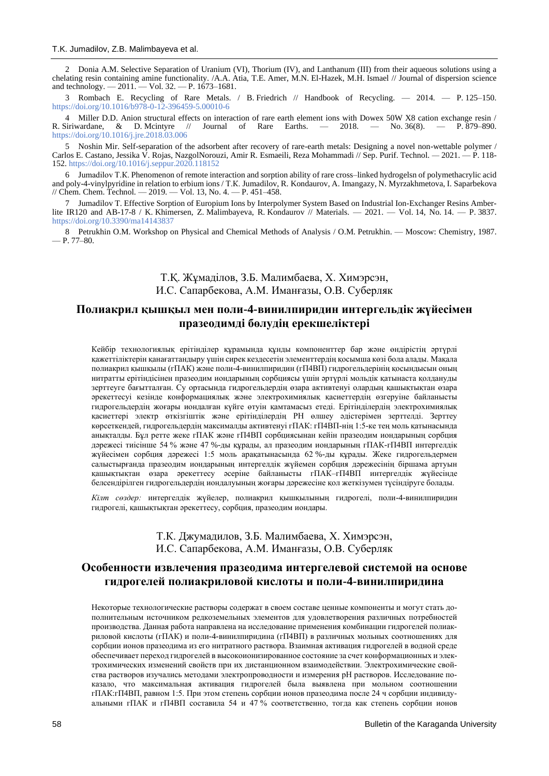2 Donia A.M. Selective Separation of Uranium (VI), Thorium (IV), and Lanthanum (III) from their aqueous solutions using a chelating resin containing amine functionality. /A.A. Atia, T.E. Amer, M.N. El-Hazek, M.H. Ismael // Journal of dispersion science and technology. — 2011. — Vol. 32. — P. 1673–1681.

3 Rombach E. Recycling of Rare Metals. / B. Friedrich // Handbook of Recycling. — 2014. — P. 125–150. <https://doi.org/10.1016/b978-0-12-396459-5.00010-6>

4 Miller D.D. Anion structural effects on interaction of rare earth element ions with Dowex 50W X8 cation exchange resin /<br>Siriwardane. & D. Mcintyre // Journal of Rare Earths. — 2018. — No. 36(8). — P. 879–890. R. Siriwardane,  $\&$  D. Mcintyre  $\#$  Journal of Rare Earths.  $-$  2018.  $-$  No. 36(8). <https://doi.org/10.1016/j.jre.2018.03.006>

5 Noshin Mir. Self-separation of the adsorbent after recovery of rare-earth metals: Designing a novel non-wettable polymer / Carlos E. Castano, Jessika V. Rojas, NazgolNorouzi, Amir R. Esmaeili, Reza Mohammadi // Sep. Purif. Technol. *—* 2021. — P. 118- 152[. https://doi.org/10.1016/j.seppur.2020.118152](https://doi.org/10.1016/j.seppur.2020.118152)

6 Jumadilov Т.К. Phenomenon of remote interaction and sorption ability of rare cross–linked hydrogelsn of polymethacrylic acid and poly-4-vinylpyridine in relation to erbium ions / Т.К. Jumadilov, R. Kondaurov, A. Imangazy, N. Myrzakhmetova, I. Saparbekova // Chem. Chem. Technol. — 2019. — Vol. 13, No. 4. — P. 451–458.

7 Jumadilov T. Effective Sorption of Europium Ions by Interpolymer System Based on Industrial Ion-Exchanger Resins Amberlite IR120 and AB-17-8 / K. Khimersen, Z. Malimbayeva, R. Kondaurov // Materials. — 2021. — Vol. 14, No. 14. — P. 3837. <https://doi.org/10.3390/ma14143837>

8 Petrukhin O.M. Workshop on Physical and Chemical Methods of Analysis / O.M. Petrukhin. — Moscow: Chemistry, 1987.  $- P. 77 - 80.$ 

## Т.Қ. Жұмаділов, З.Б. Малимбаева, Х. Химэрсэн, И.С. Сапарбекова, А.М. Иманғазы, О.В. Cуберляк

# **Полиакрил қышқыл мен поли-4-винилпиридин интергельдік жүйесімен празеодимді бөлудің ерекшеліктері**

Кейбір технологиялық ерітінділер құрамында құнды компоненттер бар және өндірістің әртүрлі қажеттіліктерін қанағаттандыру үшін сирек кездесетін элементтердің қосымша көзі бола алады. Мақала полиакрил қышқылы (гПАК) және поли-4-винилпиридин (гП4ВП) гидрогельдерінің қосындысын оның нитратты ерітіндісінен празеодим иондарының сорбциясы үшін әртүрлі мольдік қатынаста қолдануды зерттеуге бағытталған. Су ортасында гидрогельдердің өзара активтенуі олардың қашықтықтан өзара әрекеттесуі кезінде конформациялық және электрохимиялық қасиеттердің өзгеруіне байланысты гидрогельдердің жоғары иондалған күйге өтуін қамтамасыз етеді. Ерітінділердің электрохимиялық қасиеттері электр өткізгіштік және ерітінділердің РН өлшеу әдістерімен зерттелді. Зерттеу көрсеткендей, гидрогельдердің максималды активтенуі гПАК: гП4ВП-нің 1:5-ке тең моль қатынасында анықталды. Бұл ретте жеке гПАК және гП4ВП сорбциясынан кейін празеодим иондарының сорбция дәрежесі тиісінше 54 % және 47 %-ды құрады, ал празеодим иондарының гПАК-гП4ВП интергелдік жүйесімен сорбция дәрежесі 1:5 моль арақатынасында 62 %-ды құрады. Жеке гидрогельдермен салыстырғанда празеодим иондарының интергелдік жүйемен сорбция дәрежесінің біршама артуын қашықтықтан өзара әрекеттесу әсеріне байланысты гПАК–гП4ВП интергелдік жүйесінде белсендірілген гидрогельдердің иондалуының жоғары дәрежесіне қол жеткізумен түсіндіруге болады.

*Кілт сөздер:* интергелдік жүйелер, полиакрил қышқылының гидрогелі, поли-4-винилпиридин гидрогелі, қашықтықтан әрекеттесу, сорбция, празеодим иондары.

### Т.К. Джумадилов, З.Б. Малимбаева, Х. Химэрсэн, И.С. Сапарбекова, А.М. Иманғазы, О.В. Cуберляк

## **Особенности извлечения празеодима интергелевой системой на основе гидрогелей полиакриловой кислоты и поли-4-винилпиридина**

Некоторые технологические растворы содержат в своем составе ценные компоненты и могут стать дополнительным источником редкоземельных элементов для удовлетворения различных потребностей производства. Данная работа направлена на исследование применения комбинации гидрогелей полиакриловой кислоты (гПАК) и поли-4-винилпиридина (гП4ВП) в различных мольных соотношениях для сорбции ионов празеодима из его нитратного раствора. Взаимная активация гидрогелей в водной среде обеспечивает переход гидрогелей в высокоионизированное состояние за счет конформационных и электрохимических изменений свойств при их дистанционном взаимодействии. Электрохимические свойства растворов изучались методами электропроводности и измерения pH растворов. Исследование показало, что максимальная активация гидрогелей была выявлена при мольном соотношении гПАК:гП4ВП, равном 1:5. При этом степень сорбции ионов празеодима после 24 ч сорбции индивидуальными гПАК и гП4ВП составила 54 и 47 % соответственно, тогда как степень сорбции ионов